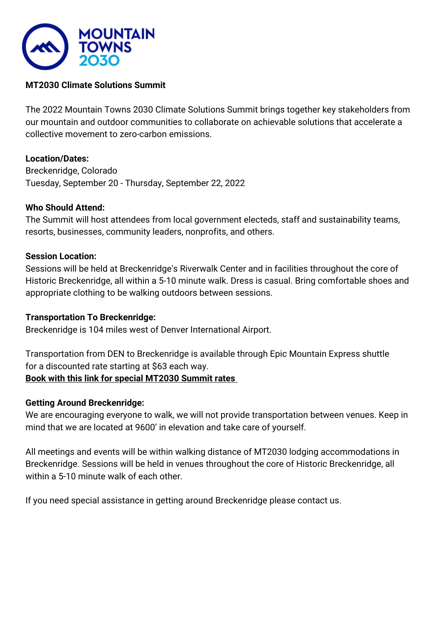

# **MT2030 Climate Solutions Summit**

The 2022 Mountain Towns 2030 Climate Solutions Summit brings together key stakeholders from our mountain and outdoor communities to collaborate on achievable solutions that accelerate a collective movement to zero-carbon emissions.

# **Location/Dates:**

Breckenridge, Colorado Tuesday, September 20 - Thursday, September 22, 2022

## **Who Should Attend:**

The Summit will host attendees from local government electeds, staff and sustainability teams, resorts, businesses, community leaders, nonprofits, and others.

## **Session Location:**

Sessions will be held at Breckenridge's Riverwalk Center and in facilities throughout the core of Historic Breckenridge, all within a 5-10 minute walk. Dress is casual. Bring comfortable shoes and appropriate clothing to be walking outdoors between sessions.

## **Transportation To Breckenridge:**

Breckenridge is 104 miles west of Denver International Airport.

Transportation from DEN to Breckenridge is available through Epic Mountain Express shuttle for a discounted rate starting at \$63 each way. **[Book with this link f](https://www.epicmountainexpress.com/group_redirect?code=MT2030)or special MT2030 Summit rates**

# **Getting Around Breckenridge:**

We are encouraging everyone to walk, we will not provide transportation between venues. Keep in mind that we are located at 9600' in elevation and take care of yourself.

All meetings and events will be within walking distance of MT2030 lodging accommodations in Breckenridge. Sessions will be held in venues throughout the core of Historic Breckenridge, all within a 5-10 minute walk of each other.

If you need special assistance in getting around Breckenridge please contact us.